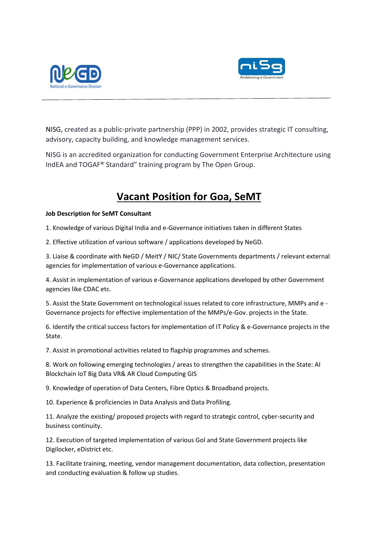



NISG, created as a public-private partnership (PPP) in 2002, provides strategic IT consulting, advisory, capacity building, and knowledge management services.

NISG is an accredited organization for conducting Government Enterprise Architecture using IndEA and TOGAF® Standard" training program by The Open Group.

## **Vacant Position for Goa, SeMT**

## **Job Description for SeMT Consultant**

1. Knowledge of various Digital India and e-Governance initiatives taken in different States

2. Effective utilization of various software / applications developed by NeGD.

3. Liaise & coordinate with NeGD / MeitY / NIC/ State Governments departments / relevant external agencies for implementation of various e-Governance applications.

4. Assist in implementation of various e-Governance applications developed by other Government agencies like CDAC etc.

5. Assist the State Government on technological issues related to core infrastructure, MMPs and e - Governance projects for effective implementation of the MMPs/e-Gov. projects in the State.

6. Identify the critical success factors for implementation of IT Policy & e-Governance projects in the State.

7. Assist in promotional activities related to flagship programmes and schemes.

8. Work on following emerging technologies / areas to strengthen the capabilities in the State: AI Blockchain loT Big Data VR& AR Cloud Computing GIS

9. Knowledge of operation of Data Centers, Fibre Optics & Broadband projects.

10. Experience & proficiencies in Data Analysis and Data Profiling.

11. Analyze the existing/ proposed projects with regard to strategic control, cyber-security and business continuity.

12. Execution of targeted implementation of various Gol and State Government projects like Digilocker, eDistrict etc.

13. Facilitate training, meeting, vendor management documentation, data collection, presentation and conducting evaluation & follow up studies.